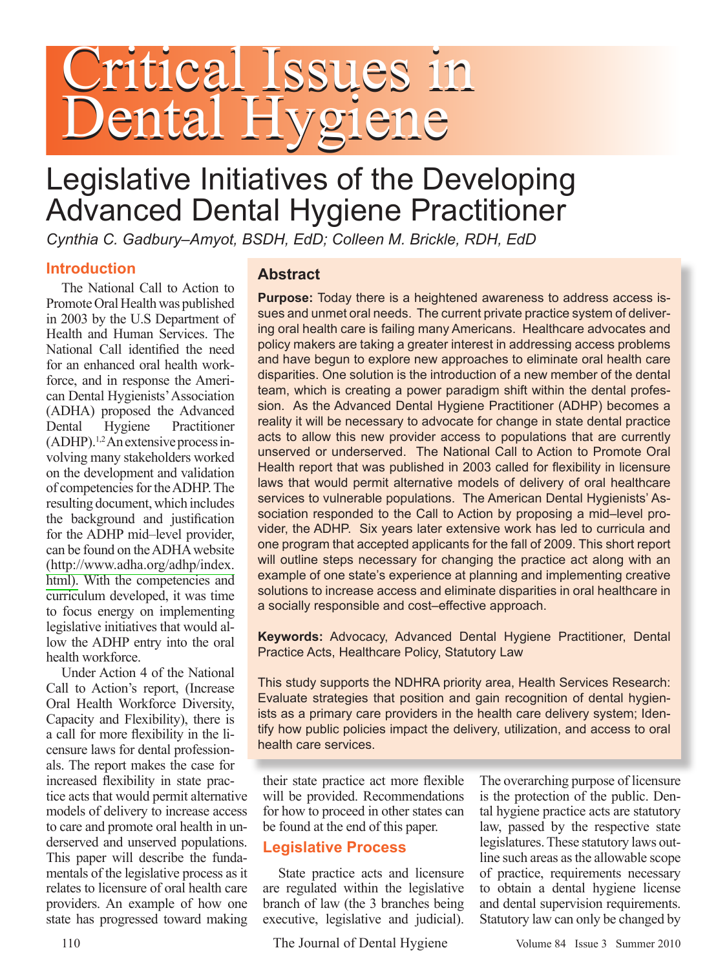# Critical Issues in<br>Dental Hygiene

# Legislative Initiatives of the Developing **Advanced Dental Hygiene Practitioner**

Cynthia C. Gadbury-Amyot, BSDH, EdD; Colleen M. Brickle, RDH, EdD

# **Introduction**

The National Call to Action to Promote Oral Health was published in 2003 by the U.S Department of Health and Human Services. The National Call identified the need for an enhanced oral health workforce, and in response the American Dental Hygienists' Association (ADHA) proposed the Advanced Hygiene Practitioner Dental  $(ADHP)$ .<sup>1,2</sup> An extensive process involving many stakeholders worked on the development and validation of competencies for the ADHP. The resulting document, which includes the background and justification for the ADHP mid-level provider, can be found on the ADHA website (http://www.adha.org/adhp/index. html). With the competencies and curriculum developed, it was time to focus energy on implementing legislative initiatives that would allow the ADHP entry into the oral health workforce

Under Action 4 of the National Call to Action's report, (Increase Oral Health Workforce Diversity, Capacity and Flexibility), there is a call for more flexibility in the licensure laws for dental professionals. The report makes the case for increased flexibility in state practice acts that would permit alternative models of delivery to increase access to care and promote oral health in underserved and unserved populations. This paper will describe the fundamentals of the legislative process as it relates to licensure of oral health care providers. An example of how one state has progressed toward making

# **Abstract**

**Purpose:** Today there is a heightened awareness to address access issues and unmet oral needs. The current private practice system of delivering oral health care is failing many Americans. Healthcare advocates and policy makers are taking a greater interest in addressing access problems and have begun to explore new approaches to eliminate oral health care disparities. One solution is the introduction of a new member of the dental team, which is creating a power paradigm shift within the dental profession. As the Advanced Dental Hygiene Practitioner (ADHP) becomes a reality it will be necessary to advocate for change in state dental practice acts to allow this new provider access to populations that are currently unserved or underserved. The National Call to Action to Promote Oral Health report that was published in 2003 called for flexibility in licensure laws that would permit alternative models of delivery of oral healthcare services to vulnerable populations. The American Dental Hygienists' Association responded to the Call to Action by proposing a mid-level provider, the ADHP. Six years later extensive work has led to curricula and one program that accepted applicants for the fall of 2009. This short report will outline steps necessary for changing the practice act along with an example of one state's experience at planning and implementing creative solutions to increase access and eliminate disparities in oral healthcare in a socially responsible and cost-effective approach.

Keywords: Advocacy, Advanced Dental Hygiene Practitioner, Dental Practice Acts, Healthcare Policy, Statutory Law

This study supports the NDHRA priority area, Health Services Research: Evaluate strategies that position and gain recognition of dental hygienists as a primary care providers in the health care delivery system; Identify how public policies impact the delivery, utilization, and access to oral health care services.

their state practice act more flexible will be provided. Recommendations for how to proceed in other states can be found at the end of this paper.

#### **Legislative Process**

State practice acts and licensure are regulated within the legislative branch of law (the 3 branches being) executive, legislative and judicial).

The Journal of Dental Hygiene

The overarching purpose of licensure is the protection of the public. Dental hygiene practice acts are statutory law, passed by the respective state legislatures. These statutory laws outline such areas as the allowable scope of practice, requirements necessary to obtain a dental hygiene license and dental supervision requirements. Statutory law can only be changed by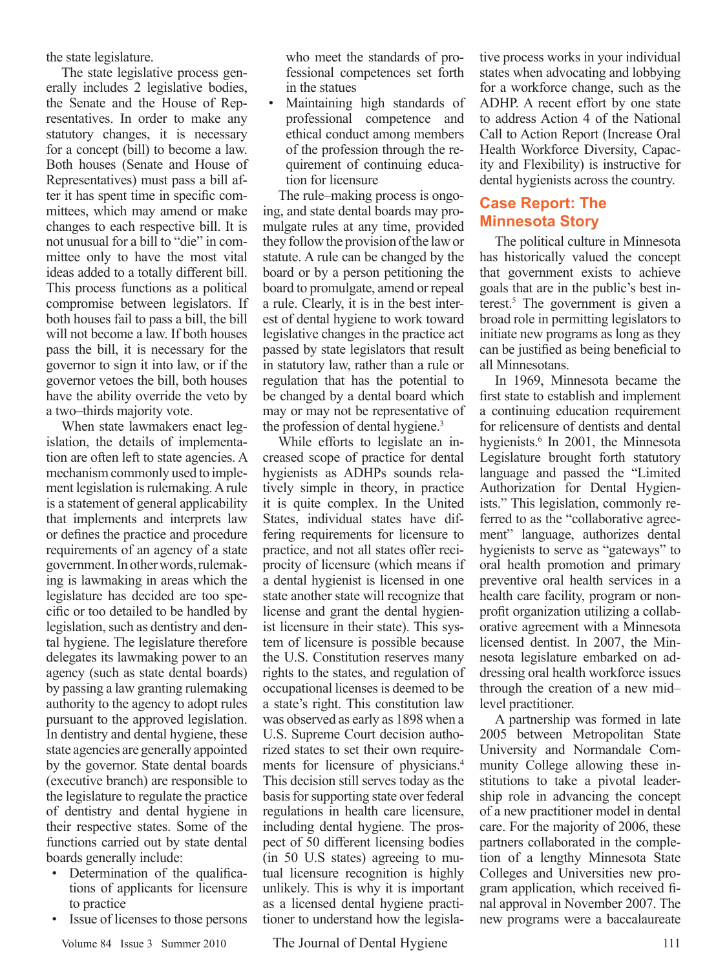the state legislature.

The state legislative process generally includes 2 legislative bodies, the Senate and the House of Representatives. In order to make any statutory changes, it is necessary for a concept (bill) to become a law. Both houses (Senate and House of Representatives) must pass a bill after it has spent time in specific committees, which may amend or make changes to each respective bill. It is not unusual for a bill to "die" in committee only to have the most vital ideas added to a totally different bill. This process functions as a political compromise between legislators. If both houses fail to pass a bill, the bill will not become a law. If both houses pass the bill, it is necessary for the governor to sign it into law, or if the governor vetoes the bill, both houses have the ability override the veto by a two-thirds majority vote.

When state lawmakers enact legislation, the details of implementation are often left to state agencies. A mechanism commonly used to implement legislation is rulemaking. A rule is a statement of general applicability that implements and interprets law or defines the practice and procedure requirements of an agency of a state government. In other words, rulemaking is lawmaking in areas which the legislature has decided are too specific or too detailed to be handled by legislation, such as dentistry and dental hygiene. The legislature therefore delegates its lawmaking power to an agency (such as state dental boards) by passing a law granting rulemaking authority to the agency to adopt rules pursuant to the approved legislation. In dentistry and dental hygiene, these state agencies are generally appointed by the governor. State dental boards (executive branch) are responsible to the legislature to regulate the practice of dentistry and dental hygiene in their respective states. Some of the functions carried out by state dental boards generally include:

- Determination of the qualifications of applicants for licensure to practice
- Issue of licenses to those persons

who meet the standards of professional competences set forth in the statues

Maintaining high standards of professional competence and ethical conduct among members of the profession through the requirement of continuing education for licensure

The rule–making process is ongoing, and state dental boards may promulgate rules at any time, provided they follow the provision of the law or statute. A rule can be changed by the board or by a person petitioning the board to promulgate, amend or repeal a rule. Clearly, it is in the best interest of dental hygiene to work toward legislative changes in the practice act passed by state legislators that result in statutory law, rather than a rule or regulation that has the potential to be changed by a dental board which may or may not be representative of the profession of dental hygiene.<sup>3</sup>

While efforts to legislate an increased scope of practice for dental hygienists as ADHPs sounds relatively simple in theory, in practice it is quite complex. In the United States, individual states have differing requirements for licensure to practice, and not all states offer reciprocity of licensure (which means if a dental hygienist is licensed in one state another state will recognize that license and grant the dental hygienist licensure in their state). This system of licensure is possible because the U.S. Constitution reserves many rights to the states, and regulation of occupational licenses is deemed to be a state's right. This constitution law was observed as early as 1898 when a U.S. Supreme Court decision authorized states to set their own requirements for licensure of physicians.<sup>4</sup> This decision still serves today as the basis for supporting state over federal regulations in health care licensure, including dental hygiene. The prospect of 50 different licensing bodies (in 50 U.S states) agreeing to mutual licensure recognition is highly unlikely. This is why it is important as a licensed dental hygiene practitioner to understand how the legisla-

The Journal of Dental Hygiene

tive process works in your individual states when advocating and lobbying for a workforce change, such as the ADHP. A recent effort by one state to address Action 4 of the National Call to Action Report (Increase Oral Health Workforce Diversity, Capacity and Flexibility) is instructive for dental hygienists across the country.

# **Case Report: The Minnesota Story**

The political culture in Minnesota has historically valued the concept that government exists to achieve goals that are in the public's best interest.<sup>5</sup> The government is given a broad role in permitting legislators to initiate new programs as long as they can be justified as being beneficial to all Minnesotans.

In 1969, Minnesota became the first state to establish and implement a continuing education requirement for relicensure of dentists and dental hygienists.<sup>6</sup> In 2001, the Minnesota Legislature brought forth statutory language and passed the "Limited" Authorization for Dental Hygienists." This legislation, commonly referred to as the "collaborative agreement" language, authorizes dental hygienists to serve as "gateways" to oral health promotion and primary preventive oral health services in a health care facility, program or nonprofit organization utilizing a collaborative agreement with a Minnesota licensed dentist. In 2007, the Minnesota legislature embarked on addressing oral health workforce issues through the creation of a new midlevel practitioner.

A partnership was formed in late 2005 between Metropolitan State University and Normandale Community College allowing these institutions to take a pivotal leadership role in advancing the concept of a new practitioner model in dental care. For the majority of 2006, these partners collaborated in the completion of a lengthy Minnesota State Colleges and Universities new program application, which received final approval in November 2007. The new programs were a baccalaureate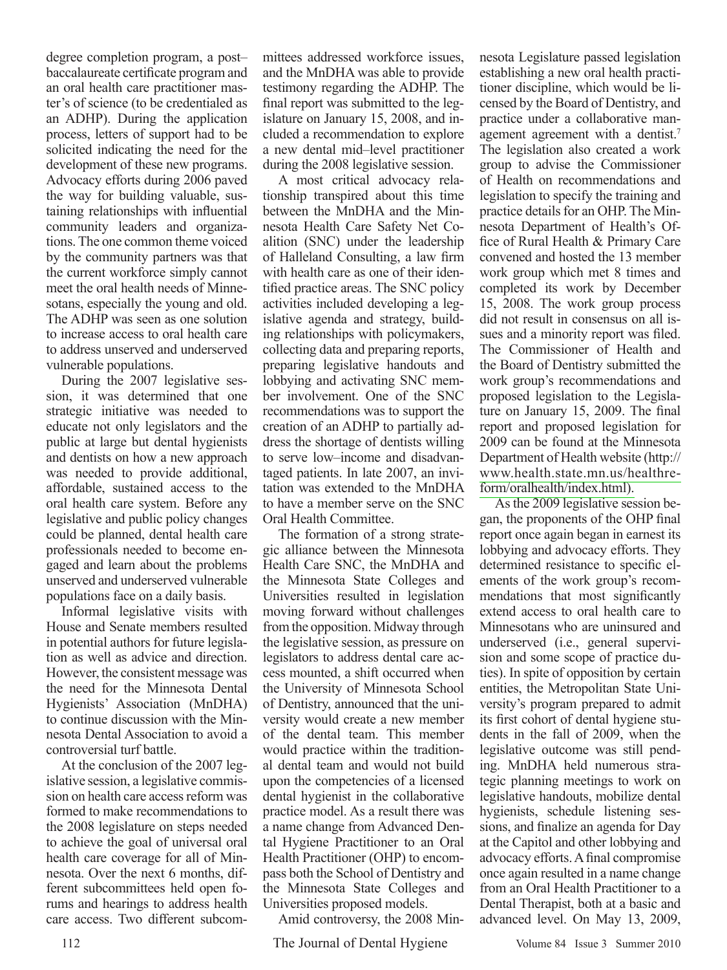degree completion program, a postbaccalaureate certificate program and an oral health care practitioner master's of science (to be credentialed as an ADHP). During the application process, letters of support had to be solicited indicating the need for the development of these new programs. Advocacy efforts during 2006 paved the way for building valuable, sustaining relationships with influential community leaders and organizations. The one common theme voiced by the community partners was that the current workforce simply cannot meet the oral health needs of Minnesotans, especially the young and old. The ADHP was seen as one solution to increase access to oral health care to address unserved and underserved vulnerable populations.

During the 2007 legislative session, it was determined that one strategic initiative was needed to educate not only legislators and the public at large but dental hygienists and dentists on how a new approach was needed to provide additional, affordable, sustained access to the oral health care system. Before any legislative and public policy changes could be planned, dental health care professionals needed to become engaged and learn about the problems unserved and underserved vulnerable populations face on a daily basis.

Informal legislative visits with House and Senate members resulted in potential authors for future legislation as well as advice and direction. However, the consistent message was the need for the Minnesota Dental Hygienists' Association (MnDHA) to continue discussion with the Minnesota Dental Association to avoid a controversial turf battle.

At the conclusion of the 2007 legislative session, a legislative commission on health care access reform was formed to make recommendations to the 2008 legislature on steps needed to achieve the goal of universal oral health care coverage for all of Minnesota. Over the next 6 months, different subcommittees held open forums and hearings to address health care access. Two different subcommittees addressed workforce issues. and the MnDHA was able to provide testimony regarding the ADHP. The final report was submitted to the legislature on January 15, 2008, and included a recommendation to explore a new dental mid-level practitioner during the 2008 legislative session.

A most critical advocacy relationship transpired about this time between the MnDHA and the Minnesota Health Care Safety Net Coalition (SNC) under the leadership of Halleland Consulting, a law firm with health care as one of their identified practice areas. The SNC policy activities included developing a legislative agenda and strategy, building relationships with policymakers. collecting data and preparing reports. preparing legislative handouts and lobbying and activating SNC member involvement. One of the SNC recommendations was to support the creation of an ADHP to partially address the shortage of dentists willing to serve low-income and disadvantaged patients. In late 2007, an invitation was extended to the MnDHA to have a member serve on the SNC Oral Health Committee.

The formation of a strong strategic alliance between the Minnesota Health Care SNC, the MnDHA and the Minnesota State Colleges and Universities resulted in legislation moving forward without challenges from the opposition. Midway through the legislative session, as pressure on legislators to address dental care access mounted, a shift occurred when the University of Minnesota School of Dentistry, announced that the university would create a new member of the dental team. This member would practice within the traditional dental team and would not build upon the competencies of a licensed dental hygienist in the collaborative practice model. As a result there was a name change from Advanced Dental Hygiene Practitioner to an Oral Health Practitioner (OHP) to encompass both the School of Dentistry and the Minnesota State Colleges and Universities proposed models.

Amid controversy, the 2008 Min-

The Journal of Dental Hygiene

nesota Legislature passed legislation establishing a new oral health practitioner discipline, which would be licensed by the Board of Dentistry, and practice under a collaborative management agreement with a dentist.<sup>7</sup> The legislation also created a work group to advise the Commissioner of Health on recommendations and legislation to specify the training and practice details for an OHP. The Minnesota Department of Health's Office of Rural Health & Primary Care convened and hosted the 13 member work group which met 8 times and completed its work by December 15, 2008. The work group process did not result in consensus on all issues and a minority report was filed. The Commissioner of Health and the Board of Dentistry submitted the work group's recommendations and proposed legislation to the Legislature on January 15, 2009. The final report and proposed legislation for 2009 can be found at the Minnesota Department of Health website (http:// www.health.state.mn.us/healthreform/oralhealth/index.html).

As the 2009 legislative session began, the proponents of the OHP final report once again began in earnest its lobbying and advocacy efforts. They determined resistance to specific elements of the work group's recommendations that most significantly extend access to oral health care to Minnesotans who are uninsured and underserved (i.e., general supervision and some scope of practice duties). In spite of opposition by certain entities, the Metropolitan State University's program prepared to admit its first cohort of dental hygiene students in the fall of 2009, when the legislative outcome was still pending. MnDHA held numerous strategic planning meetings to work on legislative handouts, mobilize dental hygienists, schedule listening sessions, and finalize an agenda for Day at the Capitol and other lobbying and advocacy efforts. A final compromise once again resulted in a name change from an Oral Health Practitioner to a Dental Therapist, both at a basic and advanced level. On May 13, 2009,